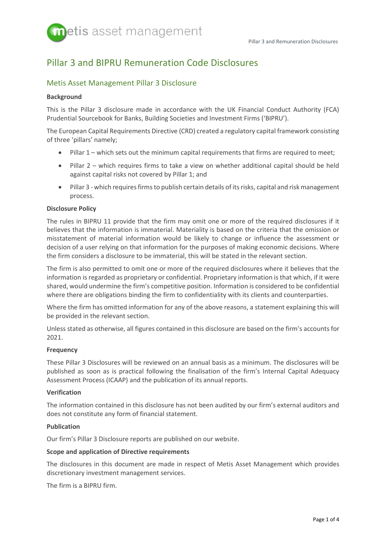# Pillar 3 and BIPRU Remuneration Code Disclosures

# Metis Asset Management Pillar 3 Disclosure

# **Background**

This is the Pillar 3 disclosure made in accordance with the UK Financial Conduct Authority (FCA) Prudential Sourcebook for Banks, Building Societies and Investment Firms ('BIPRU').

The European Capital Requirements Directive (CRD) created a regulatory capital framework consisting of three 'pillars' namely;

- Pillar 1 which sets out the minimum capital requirements that firms are required to meet;
- Pillar 2 which requires firms to take a view on whether additional capital should be held against capital risks not covered by Pillar 1; and
- Pillar 3 which requires firms to publish certain details of its risks, capital and risk management process.

# **Disclosure Policy**

The rules in BIPRU 11 provide that the firm may omit one or more of the required disclosures if it believes that the information is immaterial. Materiality is based on the criteria that the omission or misstatement of material information would be likely to change or influence the assessment or decision of a user relying on that information for the purposes of making economic decisions. Where the firm considers a disclosure to be immaterial, this will be stated in the relevant section.

The firm is also permitted to omit one or more of the required disclosures where it believes that the information is regarded as proprietary or confidential. Proprietary information is that which, if it were shared, would undermine the firm's competitive position. Information is considered to be confidential where there are obligations binding the firm to confidentiality with its clients and counterparties.

Where the firm has omitted information for any of the above reasons, a statement explaining this will be provided in the relevant section.

Unless stated as otherwise, all figures contained in this disclosure are based on the firm's accounts for 2021.

# **Frequency**

These Pillar 3 Disclosures will be reviewed on an annual basis as a minimum. The disclosures will be published as soon as is practical following the finalisation of the firm's Internal Capital Adequacy Assessment Process (ICAAP) and the publication of its annual reports.

# **Verification**

The information contained in this disclosure has not been audited by our firm's external auditors and does not constitute any form of financial statement.

# **Publication**

Our firm's Pillar 3 Disclosure reports are published on our website.

# **Scope and application of Directive requirements**

The disclosures in this document are made in respect of Metis Asset Management which provides discretionary investment management services.

The firm is a BIPRU firm.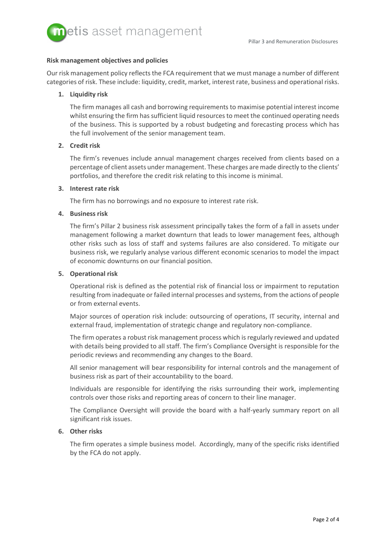

#### **Risk management objectives and policies**

Our risk management policy reflects the FCA requirement that we must manage a number of different categories of risk. These include: liquidity, credit, market, interest rate, business and operational risks.

# **1. Liquidity risk**

The firm manages all cash and borrowing requirements to maximise potential interest income whilst ensuring the firm has sufficient liquid resources to meet the continued operating needs of the business. This is supported by a robust budgeting and forecasting process which has the full involvement of the senior management team.

# **2. Credit risk**

The firm's revenues include annual management charges received from clients based on a percentage of client assets under management. These charges are made directly to the clients' portfolios, and therefore the credit risk relating to this income is minimal.

# **3. Interest rate risk**

The firm has no borrowings and no exposure to interest rate risk.

#### **4. Business risk**

The firm's Pillar 2 business risk assessment principally takes the form of a fall in assets under management following a market downturn that leads to lower management fees, although other risks such as loss of staff and systems failures are also considered. To mitigate our business risk, we regularly analyse various different economic scenarios to model the impact of economic downturns on our financial position.

#### **5. Operational risk**

Operational risk is defined as the potential risk of financial loss or impairment to reputation resulting from inadequate or failed internal processes and systems, from the actions of people or from external events.

Major sources of operation risk include: outsourcing of operations, IT security, internal and external fraud, implementation of strategic change and regulatory non-compliance.

The firm operates a robust risk management process which is regularly reviewed and updated with details being provided to all staff. The firm's Compliance Oversight is responsible for the periodic reviews and recommending any changes to the Board.

All senior management will bear responsibility for internal controls and the management of business risk as part of their accountability to the board.

Individuals are responsible for identifying the risks surrounding their work, implementing controls over those risks and reporting areas of concern to their line manager.

The Compliance Oversight will provide the board with a half-yearly summary report on all significant risk issues.

# **6. Other risks**

The firm operates a simple business model. Accordingly, many of the specific risks identified by the FCA do not apply.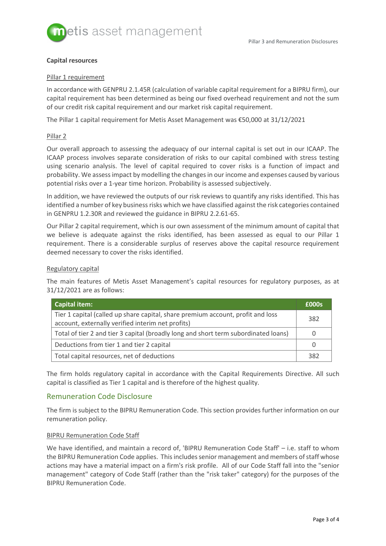

# **Capital resources**

#### Pillar 1 requirement

In accordance with GENPRU 2.1.45R (calculation of variable capital requirement for a BIPRU firm), our capital requirement has been determined as being our fixed overhead requirement and not the sum of our credit risk capital requirement and our market risk capital requirement.

The Pillar 1 capital requirement for Metis Asset Management was €50,000 at 31/12/2021

#### Pillar 2

Our overall approach to assessing the adequacy of our internal capital is set out in our ICAAP. The ICAAP process involves separate consideration of risks to our capital combined with stress testing using scenario analysis. The level of capital required to cover risks is a function of impact and probability. We assess impact by modelling the changes in our income and expenses caused by various potential risks over a 1-year time horizon. Probability is assessed subjectively.

In addition, we have reviewed the outputs of our risk reviews to quantify any risks identified. This has identified a number of key business risks which we have classified against the risk categories contained in GENPRU 1.2.30R and reviewed the guidance in BIPRU 2.2.61-65.

Our Pillar 2 capital requirement, which is our own assessment of the minimum amount of capital that we believe is adequate against the risks identified, has been assessed as equal to our Pillar 1 requirement. There is a considerable surplus of reserves above the capital resource requirement deemed necessary to cover the risks identified.

#### Regulatory capital

The main features of Metis Asset Management's capital resources for regulatory purposes, as at 31/12/2021 are as follows:

| <b>Capital item:</b>                                                                                                                 | £000s |
|--------------------------------------------------------------------------------------------------------------------------------------|-------|
| Tier 1 capital (called up share capital, share premium account, profit and loss<br>account, externally verified interim net profits) | 382   |
| Total of tier 2 and tier 3 capital (broadly long and short term subordinated loans)                                                  |       |
| Deductions from tier 1 and tier 2 capital                                                                                            |       |
| Total capital resources, net of deductions                                                                                           | 382   |

The firm holds regulatory capital in accordance with the Capital Requirements Directive. All such capital is classified as Tier 1 capital and is therefore of the highest quality.

# Remuneration Code Disclosure

The firm is subject to the BIPRU Remuneration Code. This section provides further information on our remuneration policy.

# BIPRU Remuneration Code Staff

We have identified, and maintain a record of, 'BIPRU Remuneration Code Staff' – i.e. staff to whom the BIPRU Remuneration Code applies. This includes senior management and members of staff whose actions may have a material impact on a firm's risk profile. All of our Code Staff fall into the "senior management" category of Code Staff (rather than the "risk taker" category) for the purposes of the BIPRU Remuneration Code.